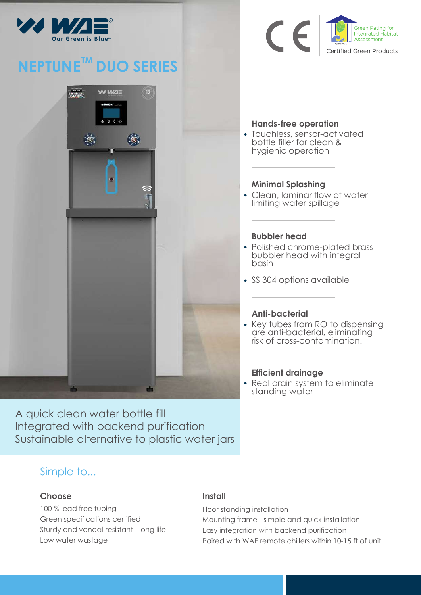

# **NEPTUNE<sup>™</sup> DUO SERIES**



 $\epsilon$ Green Rating for **Integrated Habitat** Assessment Certified Green Products

## **Hands-free operation**

Touchless, sensor-activated bottle filler for clean & hygienic operation

### **Minimal Splashing**

Clean, laminar flow of water limiting water spillage

#### **Bubbler head**

- Polished chrome-plated brass bubbler head with integral basin
- SS 304 options available

## **Anti-bacterial**

• Key tubes from RO to dispensing are anti-bacterial, eliminating risk of cross-contamination.

#### **Efficient drainage**

• Real drain system to eliminate standing water

A quick clean water bottle fill Integrated with backend purification Sustainable alternative to plastic water jars

## Simple to...

#### **Choose**

100 % lead free tubing Green specifications certified Sturdy and vandal-resistant - long life Low water wastage

#### **Install** l.

Floor standing installation Mounting frame - simple and quick installation Easy integration with backend purification Paired with WAE remote chillers within 10-15 ft of unit